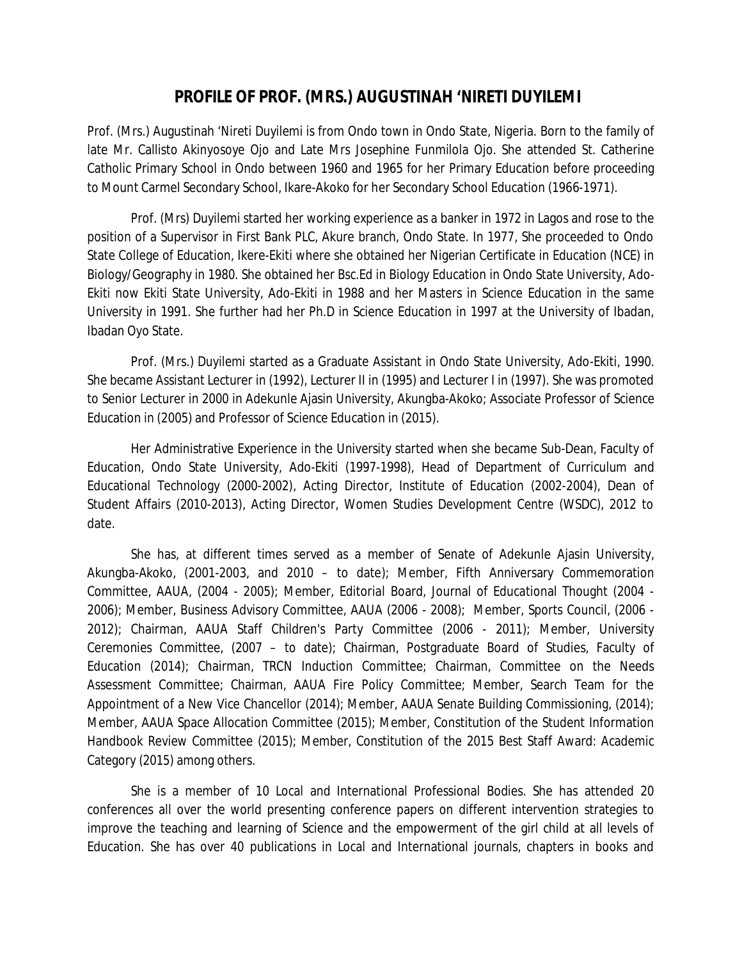## **PROFILE OF PROF. (MRS.) AUGUSTINAH 'NIRETI DUYILEMI**

Prof. (Mrs.) Augustinah 'Nireti Duyilemi is from Ondo town in Ondo State, Nigeria. Born to the family of late Mr. Callisto Akinyosoye Ojo and Late Mrs Josephine Funmilola Ojo. She attended St. Catherine Catholic Primary School in Ondo between 1960 and 1965 for her Primary Education before proceeding to Mount Carmel Secondary School, Ikare-Akoko for her Secondary School Education (1966-1971).

Prof. (Mrs) Duyilemi started her working experience as a banker in 1972 in Lagos and rose to the position of a Supervisor in First Bank PLC, Akure branch, Ondo State. In 1977, She proceeded to Ondo State College of Education, Ikere-Ekiti where she obtained her Nigerian Certificate in Education (NCE) in Biology/Geography in 1980. She obtained her Bsc.Ed in Biology Education in Ondo State University, Ado-Ekiti now Ekiti State University, Ado-Ekiti in 1988 and her Masters in Science Education in the same University in 1991. She further had her Ph.D in Science Education in 1997 at the University of Ibadan, Ibadan Oyo State.

Prof. (Mrs.) Duyilemi started as a Graduate Assistant in Ondo State University, Ado-Ekiti, 1990. She became Assistant Lecturer in (1992), Lecturer II in (1995) and Lecturer I in (1997). She was promoted to Senior Lecturer in 2000 in Adekunle Ajasin University, Akungba-Akoko; Associate Professor of Science Education in (2005) and Professor of Science Education in (2015).

Her Administrative Experience in the University started when she became Sub-Dean, Faculty of Education, Ondo State University, Ado-Ekiti (1997-1998), Head of Department of Curriculum and Educational Technology (2000-2002), Acting Director, Institute of Education (2002-2004), Dean of Student Affairs (2010-2013), Acting Director, Women Studies Development Centre (WSDC), 2012 to date.

She has, at different times served as a member of Senate of Adekunle Ajasin University, Akungba-Akoko, (2001-2003, and 2010 – to date); Member, Fifth Anniversary Commemoration Committee, AAUA, (2004 - 2005); Member, Editorial Board, Journal of Educational Thought (2004 - 2006); Member, Business Advisory Committee, AAUA (2006 - 2008); Member, Sports Council, (2006 - 2012); Chairman, AAUA Staff Children's Party Committee (2006 - 2011); Member, University Ceremonies Committee, (2007 – to date); Chairman, Postgraduate Board of Studies, Faculty of Education (2014); Chairman, TRCN Induction Committee; Chairman, Committee on the Needs Assessment Committee; Chairman, AAUA Fire Policy Committee; Member, Search Team for the Appointment of a New Vice Chancellor (2014); Member, AAUA Senate Building Commissioning, (2014); Member, AAUA Space Allocation Committee (2015); Member, Constitution of the Student Information Handbook Review Committee (2015); Member, Constitution of the 2015 Best Staff Award: Academic Category (2015) among others.

She is a member of 10 Local and International Professional Bodies. She has attended 20 conferences all over the world presenting conference papers on different intervention strategies to improve the teaching and learning of Science and the empowerment of the girl child at all levels of Education. She has over 40 publications in Local and International journals, chapters in books and